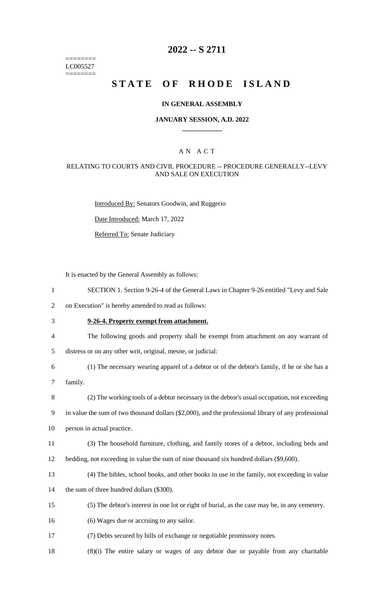======== LC005527 ========

# **2022 -- S 2711**

# **STATE OF RHODE ISLAND**

### **IN GENERAL ASSEMBLY**

### **JANUARY SESSION, A.D. 2022 \_\_\_\_\_\_\_\_\_\_\_\_**

### A N A C T

### RELATING TO COURTS AND CIVIL PROCEDURE -- PROCEDURE GENERALLY--LEVY AND SALE ON EXECUTION

Introduced By: Senators Goodwin, and Ruggerio

Date Introduced: March 17, 2022

Referred To: Senate Judiciary

It is enacted by the General Assembly as follows:

- 1 SECTION 1. Section 9-26-4 of the General Laws in Chapter 9-26 entitled "Levy and Sale
- 2 on Execution" is hereby amended to read as follows:
- 3 **9-26-4. Property exempt from attachment.**
- 4 The following goods and property shall be exempt from attachment on any warrant of
- 5 distress or on any other writ, original, mesne, or judicial:
- 6 (1) The necessary wearing apparel of a debtor or of the debtor's family, if he or she has a
- 7 family.
- 8 (2) The working tools of a debtor necessary in the debtor's usual occupation, not exceeding

9 in value the sum of two thousand dollars (\$2,000), and the professional library of any professional

10 person in actual practice.

- 11 (3) The household furniture, clothing, and family stores of a debtor, including beds and
- 12 bedding, not exceeding in value the sum of nine thousand six hundred dollars (\$9,600).
- 13 (4) The bibles, school books, and other books in use in the family, not exceeding in value
- 14 the sum of three hundred dollars (\$300).
- 15 (5) The debtor's interest in one lot or right of burial, as the case may be, in any cemetery.
- 16 (6) Wages due or accruing to any sailor.
- 17 (7) Debts secured by bills of exchange or negotiable promissory notes.
- 18 (8)(i) The entire salary or wages of any debtor due or payable from any charitable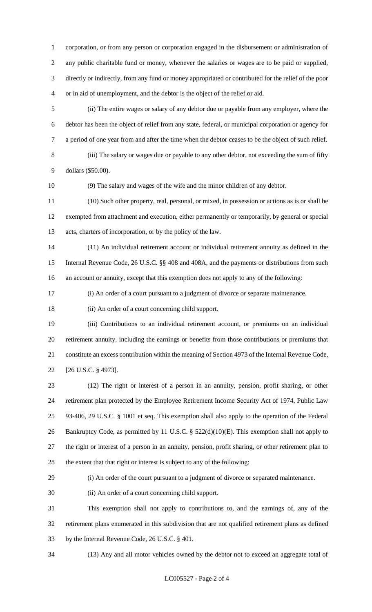corporation, or from any person or corporation engaged in the disbursement or administration of any public charitable fund or money, whenever the salaries or wages are to be paid or supplied, directly or indirectly, from any fund or money appropriated or contributed for the relief of the poor or in aid of unemployment, and the debtor is the object of the relief or aid.

 (ii) The entire wages or salary of any debtor due or payable from any employer, where the debtor has been the object of relief from any state, federal, or municipal corporation or agency for a period of one year from and after the time when the debtor ceases to be the object of such relief.

 (iii) The salary or wages due or payable to any other debtor, not exceeding the sum of fifty dollars (\$50.00).

(9) The salary and wages of the wife and the minor children of any debtor.

 (10) Such other property, real, personal, or mixed, in possession or actions as is or shall be exempted from attachment and execution, either permanently or temporarily, by general or special acts, charters of incorporation, or by the policy of the law.

 (11) An individual retirement account or individual retirement annuity as defined in the Internal Revenue Code, 26 U.S.C. §§ 408 and 408A, and the payments or distributions from such an account or annuity, except that this exemption does not apply to any of the following:

(i) An order of a court pursuant to a judgment of divorce or separate maintenance.

(ii) An order of a court concerning child support.

 (iii) Contributions to an individual retirement account, or premiums on an individual retirement annuity, including the earnings or benefits from those contributions or premiums that constitute an excess contribution within the meaning of Section 4973 of the Internal Revenue Code, [26 U.S.C. § 4973].

 (12) The right or interest of a person in an annuity, pension, profit sharing, or other retirement plan protected by the Employee Retirement Income Security Act of 1974, Public Law 93-406, 29 U.S.C. § 1001 et seq. This exemption shall also apply to the operation of the Federal 26 Bankruptcy Code, as permitted by 11 U.S.C. § 522(d)(10)(E). This exemption shall not apply to the right or interest of a person in an annuity, pension, profit sharing, or other retirement plan to the extent that that right or interest is subject to any of the following:

(i) An order of the court pursuant to a judgment of divorce or separated maintenance.

(ii) An order of a court concerning child support.

 This exemption shall not apply to contributions to, and the earnings of, any of the retirement plans enumerated in this subdivision that are not qualified retirement plans as defined by the Internal Revenue Code, 26 U.S.C. § 401.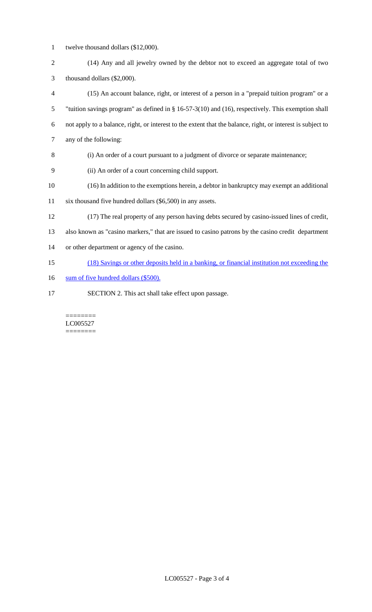- twelve thousand dollars (\$12,000).
- (14) Any and all jewelry owned by the debtor not to exceed an aggregate total of two thousand dollars (\$2,000).
- (15) An account balance, right, or interest of a person in a "prepaid tuition program" or a "tuition savings program" as defined in § 16-57-3(10) and (16), respectively. This exemption shall not apply to a balance, right, or interest to the extent that the balance, right, or interest is subject to any of the following:
- (i) An order of a court pursuant to a judgment of divorce or separate maintenance;
- (ii) An order of a court concerning child support.
- (16) In addition to the exemptions herein, a debtor in bankruptcy may exempt an additional
- six thousand five hundred dollars (\$6,500) in any assets.
- (17) The real property of any person having debts secured by casino-issued lines of credit,

also known as "casino markers," that are issued to casino patrons by the casino credit department

- or other department or agency of the casino.
- (18) Savings or other deposits held in a banking, or financial institution not exceeding the
- 16 sum of five hundred dollars (\$500).
- SECTION 2. This act shall take effect upon passage.

#### ======== LC005527 ========